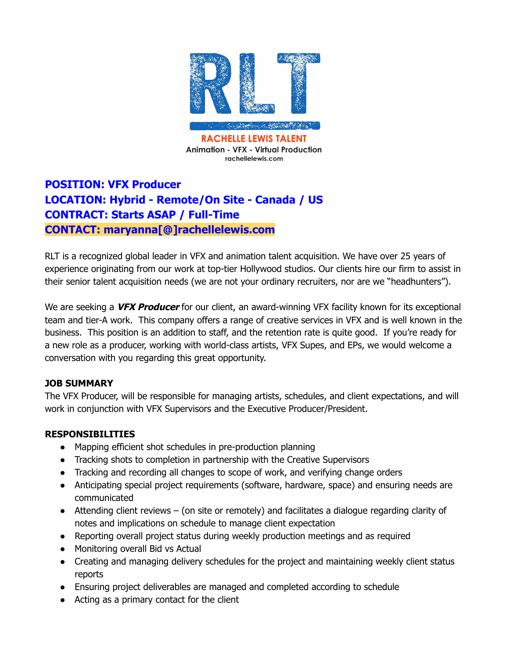

# **POSITION: VFX Producer LOCATION: Hybrid - Remote/On Site - Canada / US CONTRACT: Starts ASAP / Full-Time CONTACT: maryanna[@]rachellelewis.com**

RLT is a recognized global leader in VFX and animation talent acquisition. We have over 25 years of experience originating from our work at top-tier Hollywood studios. Our clients hire our firm to assist in their senior talent acquisition needs (we are not your ordinary recruiters, nor are we "headhunters").

We are seeking a **VFX Producer** for our client, an award-winning VFX facility known for its exceptional team and tier-A work. This company offers a range of creative services in VFX and is well known in the business. This position is an addition to staff, and the retention rate is quite good. If you're ready for a new role as a producer, working with world-class artists, VFX Supes, and EPs, we would welcome a conversation with you regarding this great opportunity.

## **JOB SUMMARY**

The VFX Producer, will be responsible for managing artists, schedules, and client expectations, and will work in conjunction with VFX Supervisors and the Executive Producer/President.

## **RESPONSIBILITIES**

- Mapping efficient shot schedules in pre-production planning
- Tracking shots to completion in partnership with the Creative Supervisors
- Tracking and recording all changes to scope of work, and verifying change orders
- Anticipating special project requirements (software, hardware, space) and ensuring needs are communicated
- Attending client reviews (on site or remotely) and facilitates a dialogue regarding clarity of notes and implications on schedule to manage client expectation
- Reporting overall project status during weekly production meetings and as required
- Monitoring overall Bid vs Actual
- Creating and managing delivery schedules for the project and maintaining weekly client status reports
- Ensuring project deliverables are managed and completed according to schedule
- Acting as a primary contact for the client